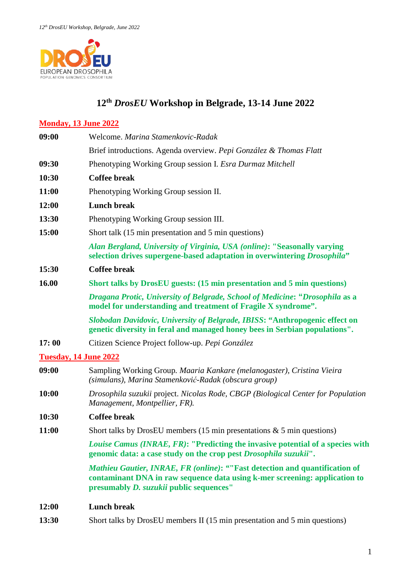

# **12th** *DrosEU* **Workshop in Belgrade, 13-14 June 2022**

## **Monday, 13 June 2022**

| 09:00                        | Welcome. Marina Stamenkovic-Radak                                                                                                                                                                    |
|------------------------------|------------------------------------------------------------------------------------------------------------------------------------------------------------------------------------------------------|
|                              | Brief introductions. Agenda overview. Pepi González & Thomas Flatt                                                                                                                                   |
| 09:30                        | Phenotyping Working Group session I. Esra Durmaz Mitchell                                                                                                                                            |
| 10:30                        | <b>Coffee break</b>                                                                                                                                                                                  |
| 11:00                        | Phenotyping Working Group session II.                                                                                                                                                                |
| 12:00                        | <b>Lunch break</b>                                                                                                                                                                                   |
| 13:30                        | Phenotyping Working Group session III.                                                                                                                                                               |
| 15:00                        | Short talk (15 min presentation and 5 min questions)                                                                                                                                                 |
|                              | Alan Bergland, University of Virginia, USA (online): "Seasonally varying<br>selection drives supergene-based adaptation in overwintering Drosophila"                                                 |
| 15:30                        | <b>Coffee break</b>                                                                                                                                                                                  |
| 16.00                        | Short talks by DrosEU guests: (15 min presentation and 5 min questions)                                                                                                                              |
|                              | Dragana Protic, University of Belgrade, School of Medicine: "Drosophila as a<br>model for understanding and treatment of Fragile X syndrome".                                                        |
|                              | Slobodan Davidovic, University of Belgrade, IBISS: "Anthropogenic effect on<br>genetic diversity in feral and managed honey bees in Serbian populations".                                            |
| 17:00                        | Citizen Science Project follow-up. Pepi González                                                                                                                                                     |
| <b>Tuesday, 14 June 2022</b> |                                                                                                                                                                                                      |
| 09:00                        | Sampling Working Group. Maaria Kankare (melanogaster), Cristina Vieira<br>(simulans), Marina Stamenković-Radak (obscura group)                                                                       |
| 10:00                        | Drosophila suzukii project. Nicolas Rode, CBGP (Biological Center for Population<br>Management, Montpellier, FR).                                                                                    |
| 10:30                        | <b>Coffee break</b>                                                                                                                                                                                  |
| 11:00                        | Short talks by DrosEU members (15 min presentations $\&$ 5 min questions)                                                                                                                            |
|                              | Louise Camus (INRAE, FR): "Predicting the invasive potential of a species with<br>genomic data: a case study on the crop pest Drosophila suzukii".                                                   |
|                              | Mathieu Gautier, INRAE, FR (online): ""Fast detection and quantification of<br>contaminant DNA in raw sequence data using k-mer screening: application to<br>presumably D. suzukii public sequences" |

### **12:00 Lunch break**

**13:30** Short talks by DrosEU members II (15 min presentation and 5 min questions)